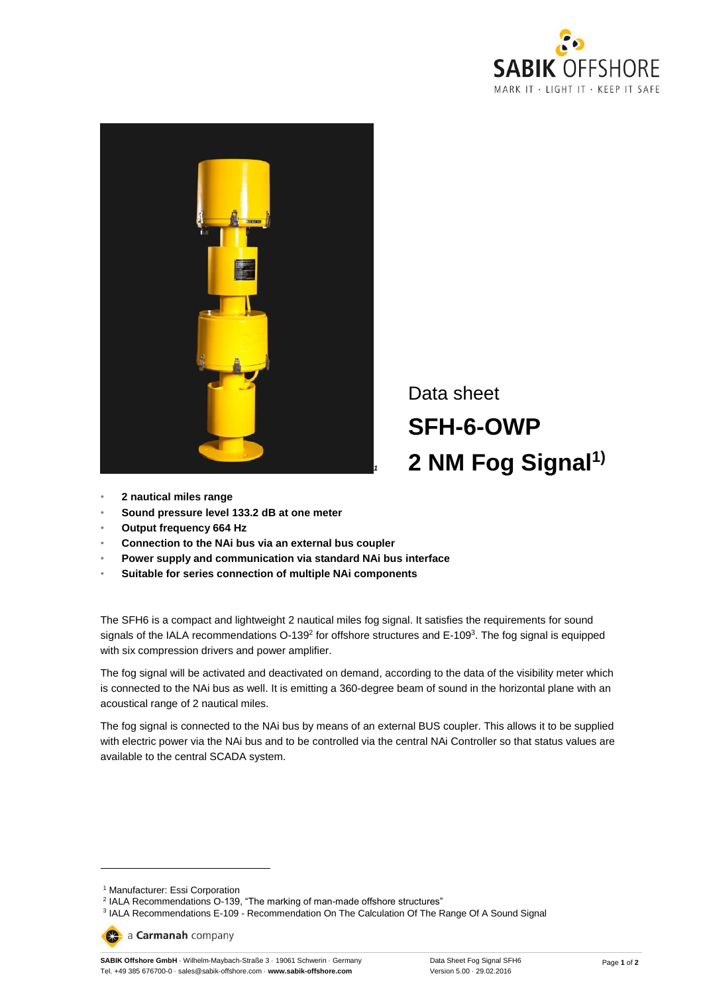



Data sheet **SFH-6-OWP 2 NM Fog Signal1)**

- **2 nautical miles range**
- **Sound pressure level 133.2 dB at one meter**
- **Output frequency 664 Hz**
- **Connection to the NAi bus via an external bus coupler**
- **Power supply and communication via standard NAi bus interface**
- **Suitable for series connection of multiple NAi components**

The SFH6 is a compact and lightweight 2 nautical miles fog signal. It satisfies the requirements for sound signals of the IALA recommendations O-139<sup>2</sup> for offshore structures and E-109<sup>3</sup>. The fog signal is equipped with six compression drivers and power amplifier.

The fog signal will be activated and deactivated on demand, according to the data of the visibility meter which is connected to the NAi bus as well. It is emitting a 360-degree beam of sound in the horizontal plane with an acoustical range of 2 nautical miles.

The fog signal is connected to the NAi bus by means of an external BUS coupler. This allows it to be supplied with electric power via the NAi bus and to be controlled via the central NAi Controller so that status values are available to the central SCADA system.

 $\overline{a}$ 

a Carmanah company

**SABIK Offshore GmbH** · Wilhelm-Maybach-Straße 3 · 19061 Schwerin · Germany Tel. +49 385 676700-0 · sales@sabik-offshore.com · **www.sabik-offshore.com**

<sup>1</sup> Manufacturer: Essi Corporation

<sup>&</sup>lt;sup>2</sup> IALA Recommendations O-139, "The marking of man-made offshore structures"<br><sup>3</sup> IALA Recommendations E-109 - Recommendation On The Calculation Of The Range Of A Sound Signal